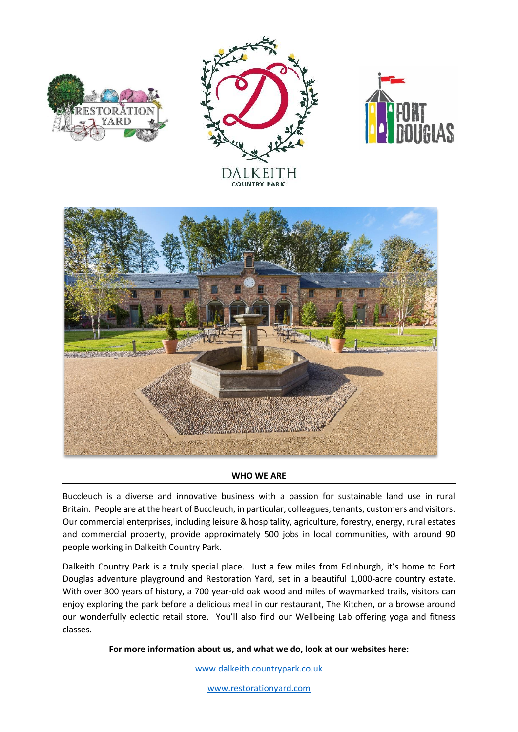







## **WHO WE ARE**

Buccleuch is a diverse and innovative business with a passion for sustainable land use in rural Britain. People are at the heart of Buccleuch, in particular, colleagues, tenants, customers and visitors. Our commercial enterprises, including leisure & hospitality, agriculture, forestry, energy, rural estates and commercial property, provide approximately 500 jobs in local communities, with around 90 people working in Dalkeith Country Park.

Dalkeith Country Park is a truly special place. Just a few miles from Edinburgh, it's home to Fort Douglas adventure playground and Restoration Yard, set in a beautiful 1,000-acre country estate. With over 300 years of history, a 700 year-old oak wood and miles of waymarked trails, visitors can enjoy exploring the park before a delicious meal in our restaurant, The Kitchen, or a browse around our wonderfully eclectic retail store. You'll also find our Wellbeing Lab offering yoga and fitness classes.

**For more information about us, and what we do, look at our websites here:**

[www.dalkeith.countrypark.co.uk](http://www.dalkeith.countrypark.co.uk/)

[www.restorationyard.com](http://www.restorationyard.com/)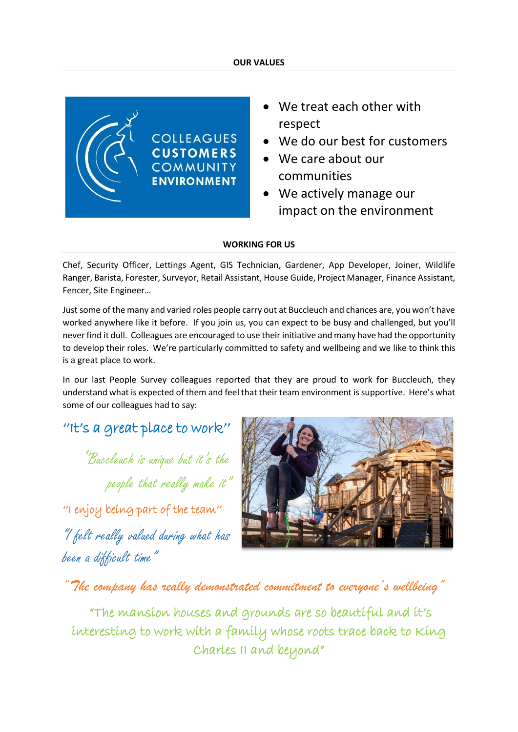

- We treat each other with respect
- We do our best for customers
- We care about our communities
- We actively manage our impact on the environment

# **WORKING FOR US**

Chef, Security Officer, Lettings Agent, GIS Technician, Gardener, App Developer, Joiner, Wildlife Ranger, Barista, Forester, Surveyor, Retail Assistant, House Guide, Project Manager, Finance Assistant, Fencer, Site Engineer…

Just some of the many and varied roles people carry out at Buccleuch and chances are, you won't have worked anywhere like it before. If you join us, you can expect to be busy and challenged, but you'll never find it dull. Colleagues are encouraged to use their initiative and many have had the opportunity to develop their roles. We're particularly committed to safety and wellbeing and we like to think this is a great place to work.

In our last People Survey colleagues reported that they are proud to work for Buccleuch, they understand what is expected of them and feel that their team environment is supportive. Here's what some of our colleagues had to say:

# ''It's a great place to work''

''Buccleuch is unique but it's the people that really make it"

''I enjoy being part of the team'' "I felt really valued during what has been a difficult time"



*"The company has really demonstrated commitment to everyone's wellbeing"*

 "The mansion houses and grounds are so beautiful and it's interesting to work with a family whose roots trace back to King Charles II and beyond"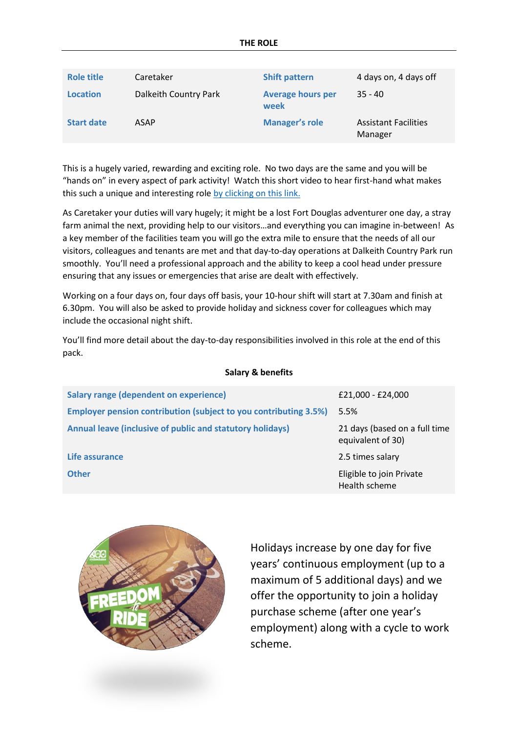| <b>Role title</b> | Caretaker             | <b>Shift pattern</b>             | 4 days on, 4 days off                  |
|-------------------|-----------------------|----------------------------------|----------------------------------------|
| <b>Location</b>   | Dalkeith Country Park | <b>Average hours per</b><br>week | $35 - 40$                              |
| <b>Start date</b> | <b>ASAP</b>           | <b>Manager's role</b>            | <b>Assistant Facilities</b><br>Manager |

This is a hugely varied, rewarding and exciting role. No two days are the same and you will be "hands on" in every aspect of park activity! Watch this short video to hear first-hand what makes this such a unique and interesting role [by clicking on this link.](https://www.youtube.com/watch?v=DX5eLTOzL0g)

As Caretaker your duties will vary hugely; it might be a lost Fort Douglas adventurer one day, a stray farm animal the next, providing help to our visitors…and everything you can imagine in-between! As a key member of the facilities team you will go the extra mile to ensure that the needs of all our visitors, colleagues and tenants are met and that day-to-day operations at Dalkeith Country Park run smoothly. You'll need a professional approach and the ability to keep a cool head under pressure ensuring that any issues or emergencies that arise are dealt with effectively.

Working on a four days on, four days off basis, your 10-hour shift will start at 7.30am and finish at 6.30pm. You will also be asked to provide holiday and sickness cover for colleagues which may include the occasional night shift.

You'll find more detail about the day-to-day responsibilities involved in this role at the end of this pack.

## **Salary & benefits**

| <b>Salary range (dependent on experience)</b>                           | £21,000 - £24,000                                  |
|-------------------------------------------------------------------------|----------------------------------------------------|
| <b>Employer pension contribution (subject to you contributing 3.5%)</b> | 5.5%                                               |
| Annual leave (inclusive of public and statutory holidays)               | 21 days (based on a full time<br>equivalent of 30) |
| Life assurance                                                          | 2.5 times salary                                   |
| <b>Other</b>                                                            | Eligible to join Private<br>Health scheme          |



Holidays increase by one day for five years' continuous employment (up to a maximum of 5 additional days) and we offer the opportunity to join a holiday purchase scheme (after one year's employment) along with a cycle to work scheme.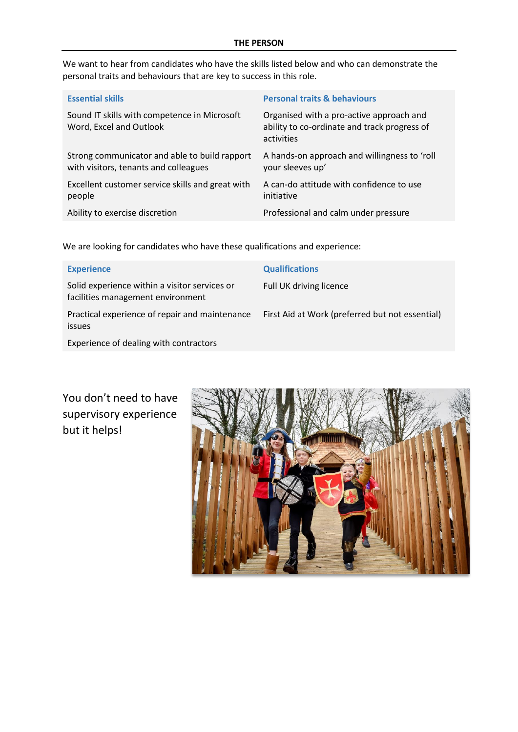We want to hear from candidates who have the skills listed below and who can demonstrate the personal traits and behaviours that are key to success in this role.

| <b>Essential skills</b>                                                                | <b>Personal traits &amp; behaviours</b>                                                                |
|----------------------------------------------------------------------------------------|--------------------------------------------------------------------------------------------------------|
| Sound IT skills with competence in Microsoft<br>Word, Excel and Outlook                | Organised with a pro-active approach and<br>ability to co-ordinate and track progress of<br>activities |
| Strong communicator and able to build rapport<br>with visitors, tenants and colleagues | A hands-on approach and willingness to 'roll<br>your sleeves up'                                       |
| Excellent customer service skills and great with<br>people                             | A can-do attitude with confidence to use<br>initiative                                                 |
| Ability to exercise discretion                                                         | Professional and calm under pressure                                                                   |

We are looking for candidates who have these qualifications and experience:

| <b>Experience</b>                                                                  | <b>Qualifications</b>                           |
|------------------------------------------------------------------------------------|-------------------------------------------------|
| Solid experience within a visitor services or<br>facilities management environment | Full UK driving licence                         |
| Practical experience of repair and maintenance<br><i>issues</i>                    | First Aid at Work (preferred but not essential) |
| Experience of dealing with contractors                                             |                                                 |

You don't need to have supervisory experience but it helps!